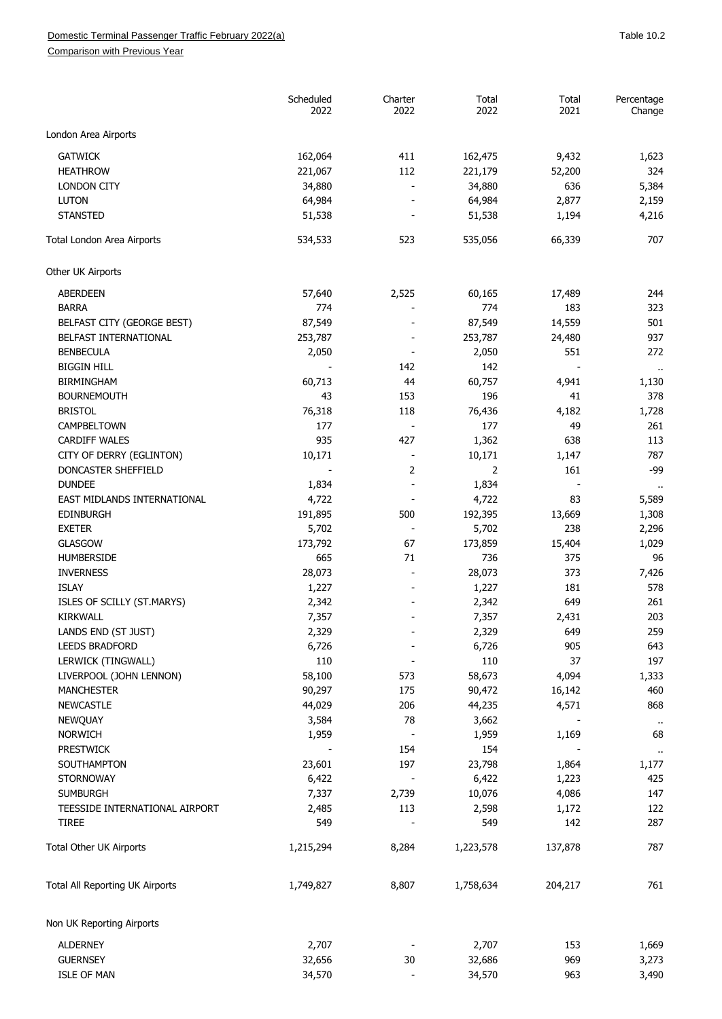Comparison with Previous Year

|                                 | Scheduled<br>2022 | Charter<br>2022              | Total<br>2022 | Total<br>2021 | Percentage<br>Change |
|---------------------------------|-------------------|------------------------------|---------------|---------------|----------------------|
| London Area Airports            |                   |                              |               |               |                      |
| <b>GATWICK</b>                  | 162,064           | 411                          | 162,475       | 9,432         | 1,623                |
| <b>HEATHROW</b>                 | 221,067           | 112                          | 221,179       | 52,200        | 324                  |
| <b>LONDON CITY</b>              | 34,880            | $\overline{a}$               | 34,880        | 636           | 5,384                |
| <b>LUTON</b>                    | 64,984            |                              | 64,984        | 2,877         | 2,159                |
| <b>STANSTED</b>                 | 51,538            |                              | 51,538        | 1,194         | 4,216                |
| Total London Area Airports      | 534,533           | 523                          | 535,056       | 66,339        | 707                  |
| Other UK Airports               |                   |                              |               |               |                      |
|                                 |                   |                              |               |               |                      |
| <b>ABERDEEN</b><br><b>BARRA</b> | 57,640<br>774     | 2,525                        | 60,165<br>774 | 17,489<br>183 | 244<br>323           |
| BELFAST CITY (GEORGE BEST)      | 87,549            |                              | 87,549        | 14,559        | 501                  |
|                                 |                   |                              |               |               |                      |
| BELFAST INTERNATIONAL           | 253,787           |                              | 253,787       | 24,480        | 937                  |
| <b>BENBECULA</b>                | 2,050             |                              | 2,050         | 551           | 272                  |
| <b>BIGGIN HILL</b>              |                   | 142                          | 142           |               | $\cdot$ .            |
| <b>BIRMINGHAM</b>               | 60,713            | 44                           | 60,757        | 4,941         | 1,130                |
| <b>BOURNEMOUTH</b>              | 43                | 153                          | 196           | 41            | 378                  |
| <b>BRISTOL</b>                  | 76,318            | 118                          | 76,436        | 4,182         | 1,728                |
| <b>CAMPBELTOWN</b>              | 177               |                              | 177           | 49            | 261                  |
| <b>CARDIFF WALES</b>            | 935               | 427                          | 1,362         | 638           | 113                  |
| CITY OF DERRY (EGLINTON)        | 10,171            | $\qquad \qquad \blacksquare$ | 10,171        | 1,147         | 787                  |
| DONCASTER SHEFFIELD             |                   | 2                            | 2             | 161           | $-99$                |
| <b>DUNDEE</b>                   | 1,834             | $\overline{a}$               | 1,834         |               |                      |
| EAST MIDLANDS INTERNATIONAL     | 4,722             |                              | 4,722         | 83            | 5,589                |
| <b>EDINBURGH</b>                | 191,895           | 500                          | 192,395       | 13,669        | 1,308                |
| <b>EXETER</b>                   | 5,702             | $\overline{\phantom{a}}$     | 5,702         | 238           | 2,296                |
| GLASGOW                         | 173,792           | 67                           | 173,859       | 15,404        | 1,029                |
| HUMBERSIDE                      | 665               | 71                           | 736           | 375           | 96                   |
| <b>INVERNESS</b>                | 28,073            |                              | 28,073        | 373           | 7,426                |
| <b>ISLAY</b>                    | 1,227             |                              | 1,227         | 181           | 578                  |
| ISLES OF SCILLY (ST.MARYS)      | 2,342             |                              | 2,342         | 649           | 261                  |
| <b>KIRKWALL</b>                 | 7,357             |                              | 7,357         | 2,431         | 203                  |
|                                 |                   |                              |               |               |                      |
| LANDS END (ST JUST)             | 2,329             |                              | 2,329         | 649           | 259                  |
| <b>LEEDS BRADFORD</b>           | 6,726             |                              | 6,726         | 905           | 643                  |
| LERWICK (TINGWALL)              | 110               |                              | 110           | 37            | 197                  |
| LIVERPOOL (JOHN LENNON)         | 58,100            | 573                          | 58,673        | 4,094         | 1,333                |
| <b>MANCHESTER</b>               | 90,297            | 175                          | 90,472        | 16,142        | 460                  |
| <b>NEWCASTLE</b>                | 44,029            | 206                          | 44,235        | 4,571         | 868                  |
| <b>NEWQUAY</b>                  | 3,584             | 78                           | 3,662         |               | $\ddot{\phantom{1}}$ |
| <b>NORWICH</b>                  | 1,959             | $\overline{\phantom{a}}$     | 1,959         | 1,169         | 68                   |
| <b>PRESTWICK</b>                |                   | 154                          | 154           |               | $\ddot{\phantom{1}}$ |
| SOUTHAMPTON                     | 23,601            | 197                          | 23,798        | 1,864         | 1,177                |
| <b>STORNOWAY</b>                | 6,422             | $\qquad \qquad \blacksquare$ | 6,422         | 1,223         | 425                  |
| <b>SUMBURGH</b>                 | 7,337             | 2,739                        | 10,076        | 4,086         | 147                  |
| TEESSIDE INTERNATIONAL AIRPORT  | 2,485             | 113                          | 2,598         | 1,172         | 122                  |
| <b>TIREE</b>                    | 549               |                              | 549           | 142           | 287                  |
| Total Other UK Airports         | 1,215,294         | 8,284                        | 1,223,578     | 137,878       | 787                  |
| Total All Reporting UK Airports | 1,749,827         | 8,807                        | 1,758,634     | 204,217       | 761                  |
| Non UK Reporting Airports       |                   |                              |               |               |                      |
| <b>ALDERNEY</b>                 | 2,707             |                              | 2,707         | 153           | 1,669                |
|                                 |                   |                              |               |               |                      |
| <b>GUERNSEY</b>                 | 32,656            | 30                           | 32,686        | 969           | 3,273                |
| <b>ISLE OF MAN</b>              | 34,570            |                              | 34,570        | 963           | 3,490                |